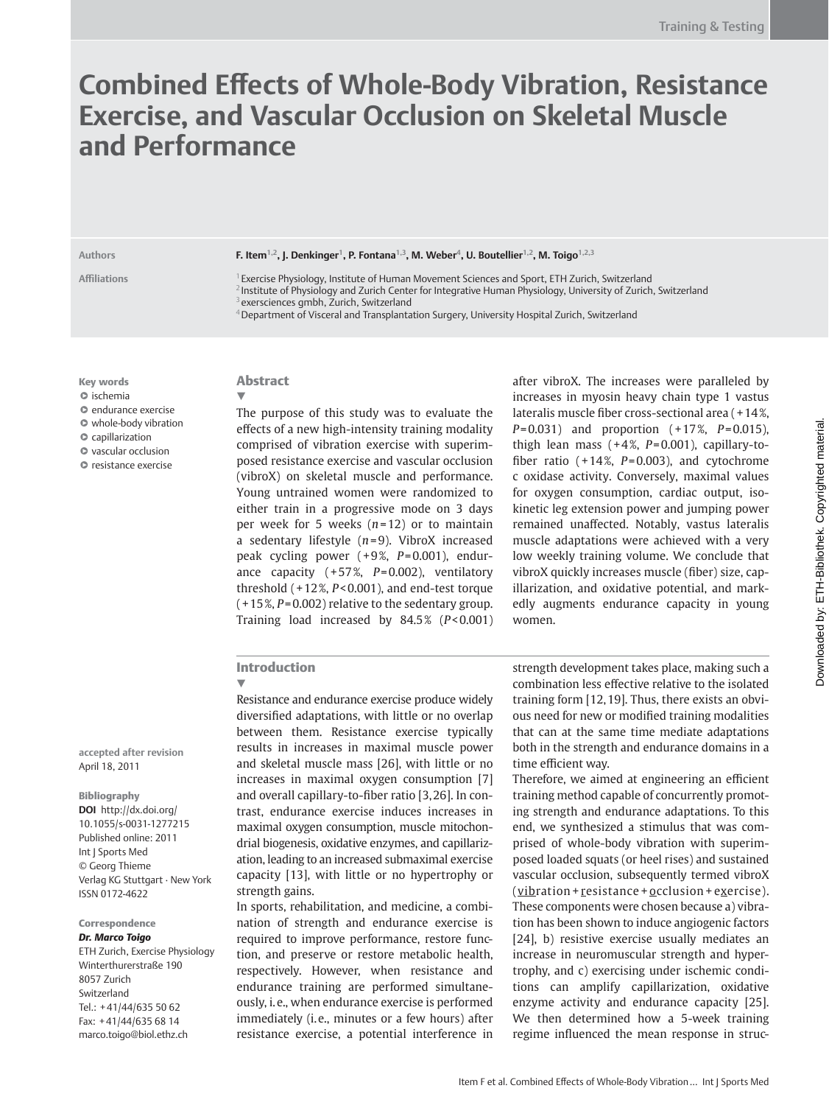# **Combined Eff ects of Whole-Body Vibration, Resistance Exercise, and Vascular Occlusion on Skeletal Muscle and Performance**

Authors **F. Item<sup>1,2</sup>, J. Denkinger<sup>1</sup>, P. Fontana<sup>1,3</sup>, M. Weber<sup>4</sup>, U. Boutellier<sup>1,2</sup>, M. Toigo<sup>1,2,3</sup>** 

**Affi liations** 1 Exercise Physiology, Institute of Human Movement Sciences and Sport, ETH Zurich, Switzerland <sup>2</sup> Institute of Physiology and Zurich Center for Integrative Human Physiology, University of Zurich, Switzerland exersciences gmbh, Zurich, Switzerland 4 Department of Visceral and Transplantation Surgery, University Hospital Zurich, Switzerland

Key words  $\circ$  ischemia ●▶ endurance exercise  $\bullet$  whole-body vibration ●▶ capillarization ●▶ vascular occlusion ●▶ resistance exercise

**accepted after revision**  April 18, 2011

Verlag KG Stuttgart · New York

 ETH Zurich, Exercise Physiology Winterthurerstraße 190

Tel.: +41/44/635 50 62 Fax: +41/44/635 68 14 marco.toigo@biol.ethz.ch

Bibliography **DOI** http://dx.doi.org/ 10.1055/s-0031-1277215 Published online: 2011 Int | Sports Med © Georg Thieme

ISSN 0172-4622

Correspondence *Dr. Marco Toigo*

 8057 Zurich Switzerland

## Abstract ▼

 The purpose of this study was to evaluate the effects of a new high-intensity training modality comprised of vibration exercise with superimposed resistance exercise and vascular occlusion (vibroX) on skeletal muscle and performance. Young untrained women were randomized to either train in a progressive mode on 3 days per week for 5 weeks  $(n=12)$  or to maintain a sedentary lifestyle ( *n* = 9). VibroX increased peak cycling power (+9%, P=0.001), endurance capacity (+57%, P=0.002), ventilatory threshold ( + 12 % , *P* < 0.001), and end-test torque  $(+15\%, P=0.002)$  relative to the sedentary group. Training load increased by 84.5% (P<0.001) after vibroX. The increases were paralleled by increases in myosin heavy chain type 1 vastus lateralis muscle fiber cross-sectional area  $(+14\%$ ,  $P = 0.031$ ) and proportion  $(+17\%, P = 0.015)$ , thigh lean mass  $(+4\%, P=0.001)$ , capillary-tofiber ratio  $(+14\%, P=0.003)$ , and cytochrome c oxidase activity. Conversely, maximal values for oxygen consumption, cardiac output, isokinetic leg extension power and jumping power remained unaffected. Notably, vastus lateralis muscle adaptations were achieved with a very low weekly training volume. We conclude that vibroX quickly increases muscle (fiber) size, capillarization, and oxidative potential, and markedly augments endurance capacity in young women.

## Introduction

▼

 Resistance and endurance exercise produce widely diversified adaptations, with little or no overlap between them. Resistance exercise typically results in increases in maximal muscle power and skeletal muscle mass [26], with little or no increases in maximal oxygen consumption [7] and overall capillary-to-fiber ratio [3,26]. In contrast, endurance exercise induces increases in maximal oxygen consumption, muscle mitochondrial biogenesis, oxidative enzymes, and capillarization, leading to an increased submaximal exercise capacity [13], with little or no hypertrophy or strength gains.

 In sports, rehabilitation, and medicine, a combination of strength and endurance exercise is required to improve performance, restore function, and preserve or restore metabolic health, respectively. However, when resistance and endurance training are performed simultaneously, i. e., when endurance exercise is performed immediately (i.e., minutes or a few hours) after resistance exercise, a potential interference in

strength development takes place, making such a combination less effective relative to the isolated training form [12, 19]. Thus, there exists an obvious need for new or modified training modalities that can at the same time mediate adaptations both in the strength and endurance domains in a time efficient way.

Therefore, we aimed at engineering an efficient training method capable of concurrently promoting strength and endurance adaptations. To this end, we synthesized a stimulus that was comprised of whole-body vibration with superimposed loaded squats (or heel rises) and sustained vascular occlusion, subsequently termed vibroX  $(vibration + resistance + occlusion + exercise).$ These components were chosen because a) vibration has been shown to induce angiogenic factors [24], b) resistive exercise usually mediates an increase in neuromuscular strength and hypertrophy, and c) exercising under ischemic conditions can amplify capillarization, oxidative enzyme activity and endurance capacity [25]. We then determined how a 5-week training regime influenced the mean response in struc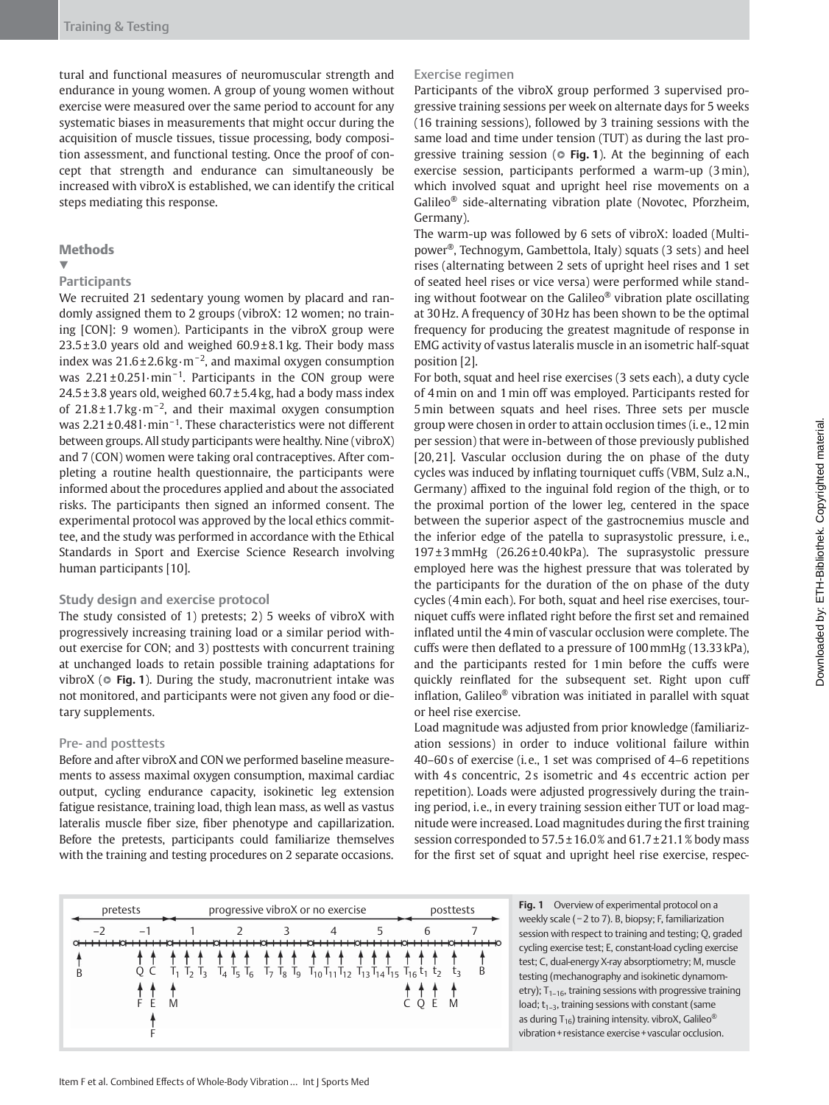tural and functional measures of neuromuscular strength and endurance in young women. A group of young women without exercise were measured over the same period to account for any systematic biases in measurements that might occur during the acquisition of muscle tissues, tissue processing, body composition assessment, and functional testing. Once the proof of concept that strength and endurance can simultaneously be increased with vibroX is established, we can identify the critical steps mediating this response.

#### **Methods**

#### ▼

#### **Participants**

 We recruited 21 sedentary young women by placard and randomly assigned them to 2 groups (vibroX: 12 women; no training [CON]: 9 women). Participants in the vibroX group were  $23.5 \pm 3.0$  years old and weighed  $60.9 \pm 8.1$  kg. Their body mass index was  $21.6 \pm 2.6$  kg·m<sup>-2</sup>, and maximal oxygen consumption was 2.21±0.251·min<sup>-1</sup>. Participants in the CON group were  $24.5 \pm 3.8$  years old, weighed 60.7 $\pm$ 5.4 kg, had a body mass index of  $21.8 \pm 1.7$  kg $\cdot$ m<sup>-2</sup>, and their maximal oxygen consumption was 2.21 ± 0.48 l⋅min<sup>-1</sup>. These characteristics were not different between groups. All study participants were healthy. Nine (vibroX) and 7 (CON) women were taking oral contraceptives. After completing a routine health questionnaire, the participants were informed about the procedures applied and about the associated risks. The participants then signed an informed consent. The experimental protocol was approved by the local ethics committee, and the study was performed in accordance with the Ethical Standards in Sport and Exercise Science Research involving human participants [10].

#### **Study design and exercise protocol**

 The study consisted of 1) pretests; 2) 5 weeks of vibroX with progressively increasing training load or a similar period without exercise for CON; and 3) posttests with concurrent training at unchanged loads to retain possible training adaptations for vibroX ( $\circ$  Fig. 1). During the study, macronutrient intake was not monitored, and participants were not given any food or dietary supplements.

### Pre- and posttests

 Before and after vibroX and CON we performed baseline measurements to assess maximal oxygen consumption, maximal cardiac output, cycling endurance capacity, isokinetic leg extension fatigue resistance, training load, thigh lean mass, as well as vastus lateralis muscle fiber size, fiber phenotype and capillarization. Before the pretests, participants could familiarize themselves with the training and testing procedures on 2 separate occasions.

### Exercise regimen

 Participants of the vibroX group performed 3 supervised progressive training sessions per week on alternate days for 5 weeks (16 training sessions), followed by 3 training sessions with the same load and time under tension (TUT) as during the last progressive training session ( $\circ$  Fig. 1). At the beginning of each exercise session, participants performed a warm-up (3 min), which involved squat and upright heel rise movements on a Galileo $^{\circledR}$  side-alternating vibration plate (Novotec, Pforzheim, Germany).

 The warm-up was followed by 6 sets of vibroX: loaded (Multipower<sup>®</sup>, Technogym, Gambettola, Italy) squats (3 sets) and heel rises (alternating between 2 sets of upright heel rises and 1 set of seated heel rises or vice versa) were performed while standing without footwear on the Galileo<sup>®</sup> vibration plate oscillating at 30 Hz. A frequency of 30 Hz has been shown to be the optimal frequency for producing the greatest magnitude of response in EMG activity of vastus lateralis muscle in an isometric half-squat position [2].

 For both, squat and heel rise exercises (3 sets each), a duty cycle of 4 min on and 1 min off was employed. Participants rested for 5 min between squats and heel rises. Three sets per muscle group were chosen in order to attain occlusion times (i. e., 12 min per session) that were in-between of those previously published [20, 21]. Vascular occlusion during the on phase of the duty cycles was induced by inflating tourniquet cuffs (VBM, Sulz a.N., Germany) affixed to the inguinal fold region of the thigh, or to the proximal portion of the lower leg, centered in the space between the superior aspect of the gastrocnemius muscle and the inferior edge of the patella to suprasystolic pressure, i. e., 197 ± 3 mmHg (26.26 ± 0.40 kPa). The suprasystolic pressure employed here was the highest pressure that was tolerated by the participants for the duration of the on phase of the duty cycles (4 min each). For both, squat and heel rise exercises, tourniquet cuffs were inflated right before the first set and remained inflated until the 4 min of vascular occlusion were complete. The cuffs were then deflated to a pressure of 100 mmHg (13.33 kPa), and the participants rested for 1 min before the cuffs were quickly reinflated for the subsequent set. Right upon cuff inflation, Galileo $<sup>®</sup>$  vibration was initiated in parallel with squat</sup> or heel rise exercise.

 Load magnitude was adjusted from prior knowledge (familiarization sessions) in order to induce volitional failure within 40-60s of exercise (i.e., 1 set was comprised of 4-6 repetitions with 4s concentric, 2s isometric and 4s eccentric action per repetition). Loads were adjusted progressively during the training period, i. e., in every training session either TUT or load magnitude were increased. Load magnitudes during the first training session corresponded to 57.5 ± 16.0 % and 61.7 ± 21.1 % body mass for the first set of squat and upright heel rise exercise, respec-

| pretests |  | progressive vibroX or no exercise |  | posttests                                                                                                                                  |  |   |
|----------|--|-----------------------------------|--|--------------------------------------------------------------------------------------------------------------------------------------------|--|---|
|          |  |                                   |  | Q C $T_1$ $T_2$ $T_3$ $T_4$ $T_5$ $T_6$ $T_7$ $T_8$ $T_9$ $T_{10}$ $T_{11}$ $T_{12}$ $T_{13}$ $T_{14}$ $T_{15}$ $T_{16}$ $t_1$ $t_2$ $t_3$ |  | B |
|          |  |                                   |  |                                                                                                                                            |  | M |

Fig. 1 Overview of experimental protocol on a weekly scale ( − 2 to 7). B, biopsy; F, familiarization session with respect to training and testing; Q, graded cycling exercise test; E, constant-load cycling exercise test; C, dual-energy X-ray absorptiometry; M, muscle testing (mechanography and isokinetic dynamometry);  $T_{1-16}$ , training sessions with progressive training load;  $t_{1-3}$ , training sessions with constant (same as during T<sub>16</sub>) training intensity. vibroX, Galileo<sup>®</sup> vibration + resistance exercise + vascular occlusion.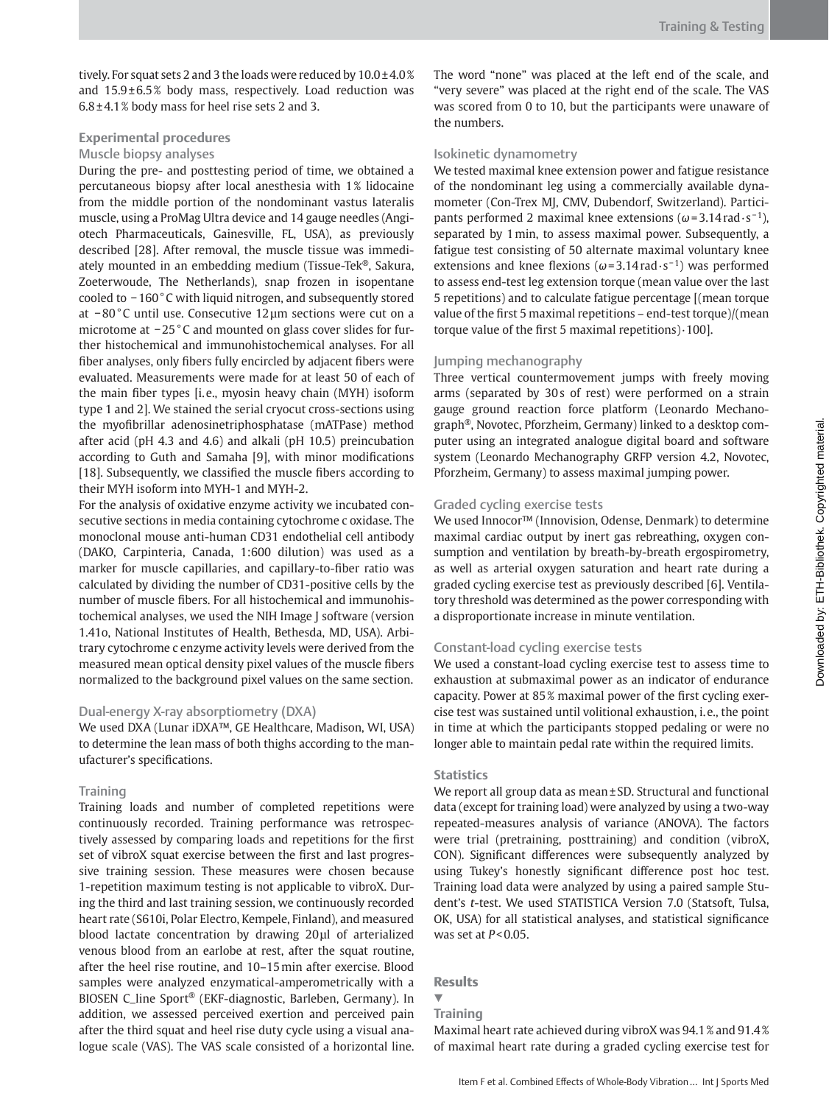tively. For squat sets 2 and 3 the loads were reduced by 10.0 ± 4.0 % and  $15.9 \pm 6.5\%$  body mass, respectively. Load reduction was  $6.8 \pm 4.1$ % body mass for heel rise sets 2 and 3.

# **Experimental procedures**

#### Muscle biopsy analyses

 During the pre- and posttesting period of time, we obtained a percutaneous biopsy after local anesthesia with 1% lidocaine from the middle portion of the nondominant vastus lateralis muscle, using a ProMag Ultra device and 14 gauge needles (Angiotech Pharmaceuticals, Gainesville, FL, USA), as previously described [28]. After removal, the muscle tissue was immediately mounted in an embedding medium (Tissue-Tek®, Sakura, Zoeterwoude, The Netherlands), snap frozen in isopentane cooled to − 160 ° C with liquid nitrogen, and subsequently stored at −80°C until use. Consecutive 12µm sections were cut on a microtome at − 25 ° C and mounted on glass cover slides for further histochemical and immunohistochemical analyses. For all fiber analyses, only fibers fully encircled by adjacent fibers were evaluated. Measurements were made for at least 50 of each of the main fiber types [i.e., myosin heavy chain (MYH) isoform type 1 and 2]. We stained the serial cryocut cross-sections using the myofibrillar adenosinetriphosphatase (mATPase) method after acid (pH 4.3 and 4.6) and alkali (pH 10.5) preincubation according to Guth and Samaha [9], with minor modifications [18]. Subsequently, we classified the muscle fibers according to their MYH isoform into MYH-1 and MYH-2.

 For the analysis of oxidative enzyme activity we incubated consecutive sections in media containing cytochrome c oxidase. The monoclonal mouse anti-human CD31 endothelial cell antibody (DAKO, Carpinteria, Canada, 1:600 dilution) was used as a marker for muscle capillaries, and capillary-to-fiber ratio was calculated by dividing the number of CD31-positive cells by the number of muscle fibers. For all histochemical and immunohistochemical analyses, we used the NIH Image J software (version 1.41o, National Institutes of Health, Bethesda, MD, USA). Arbitrary cytochrome c enzyme activity levels were derived from the measured mean optical density pixel values of the muscle fibers normalized to the background pixel values on the same section.

## Dual-energy X-ray absorptiometry (DXA)

We used DXA (Lunar iDXA™, GE Healthcare, Madison, WI, USA) to determine the lean mass of both thighs according to the manufacturer's specifications.

#### **Training**

 Training loads and number of completed repetitions were continuously recorded. Training performance was retrospectively assessed by comparing loads and repetitions for the first set of vibroX squat exercise between the first and last progressive training session. These measures were chosen because 1-repetition maximum testing is not applicable to vibroX. During the third and last training session, we continuously recorded heart rate (S610i, Polar Electro, Kempele, Finland), and measured blood lactate concentration by drawing 20 μl of arterialized venous blood from an earlobe at rest, after the squat routine, after the heel rise routine, and 10 – 15 min after exercise. Blood samples were analyzed enzymatical-amperometrically with a BIOSEN C\_line Sport<sup>®</sup> (EKF-diagnostic, Barleben, Germany). In addition, we assessed perceived exertion and perceived pain after the third squat and heel rise duty cycle using a visual analogue scale (VAS). The VAS scale consisted of a horizontal line.

The word "none" was placed at the left end of the scale, and " very severe" was placed at the right end of the scale. The VAS was scored from 0 to 10, but the participants were unaware of the numbers.

## Isokinetic dynamometry

 We tested maximal knee extension power and fatigue resistance of the nondominant leg using a commercially available dynamometer (Con-Trex MJ, CMV, Dubendorf, Switzerland). Participants performed 2 maximal knee extensions  $(\omega = 3.14 \text{ rad} \cdot \text{s}^{-1})$ , separated by 1 min, to assess maximal power. Subsequently, a fatigue test consisting of 50 alternate maximal voluntary knee extensions and knee flexions ( $\omega$ =3.14 rad · s<sup>-1</sup>) was performed to assess end-test leg extension torque (mean value over the last 5 repetitions) and to calculate fatigue percentage [(mean torque value of the first 5 maximal repetitions - end-test torque)/(mean torque value of the first 5 maximal repetitions) $\cdot$ 100].

## Jumping mechanography

 Three vertical countermovement jumps with freely moving arms (separated by 30s of rest) were performed on a strain gauge ground reaction force platform (Leonardo Mechanograph<sup>®</sup>, Novotec, Pforzheim, Germany) linked to a desktop computer using an integrated analogue digital board and software system (Leonardo Mechanography GRFP version 4.2, Novotec, Pforzheim, Germany) to assess maximal jumping power.

## Graded cycling exercise tests

We used Innocor<sup>™</sup> (Innovision, Odense, Denmark) to determine maximal cardiac output by inert gas rebreathing, oxygen consumption and ventilation by breath-by-breath ergospirometry, as well as arterial oxygen saturation and heart rate during a graded cycling exercise test as previously described [6]. Ventilatory threshold was determined as the power corresponding with a disproportionate increase in minute ventilation.

# Constant-load cycling exercise tests

 We used a constant-load cycling exercise test to assess time to exhaustion at submaximal power as an indicator of endurance capacity. Power at 85% maximal power of the first cycling exercise test was sustained until volitional exhaustion, i. e., the point in time at which the participants stopped pedaling or were no longer able to maintain pedal rate within the required limits.

## **Statistics**

 We report all group data as mean ± SD. Structural and functional data (except for training load) were analyzed by using a two-way repeated-measures analysis of variance (ANOVA). The factors were trial (pretraining, posttraining) and condition (vibroX, CON). Significant differences were subsequently analyzed by using Tukey's honestly significant difference post hoc test. Training load data were analyzed by using a paired sample Student's *t*-test. We used STATISTICA Version 7.0 (Statsoft, Tulsa, OK, USA) for all statistical analyses, and statistical significance was set at *P* < 0.05.

## **Results**

**Training** 

▼

 Maximal heart rate achieved during vibroX was 94.1 % and 91.4 % of maximal heart rate during a graded cycling exercise test for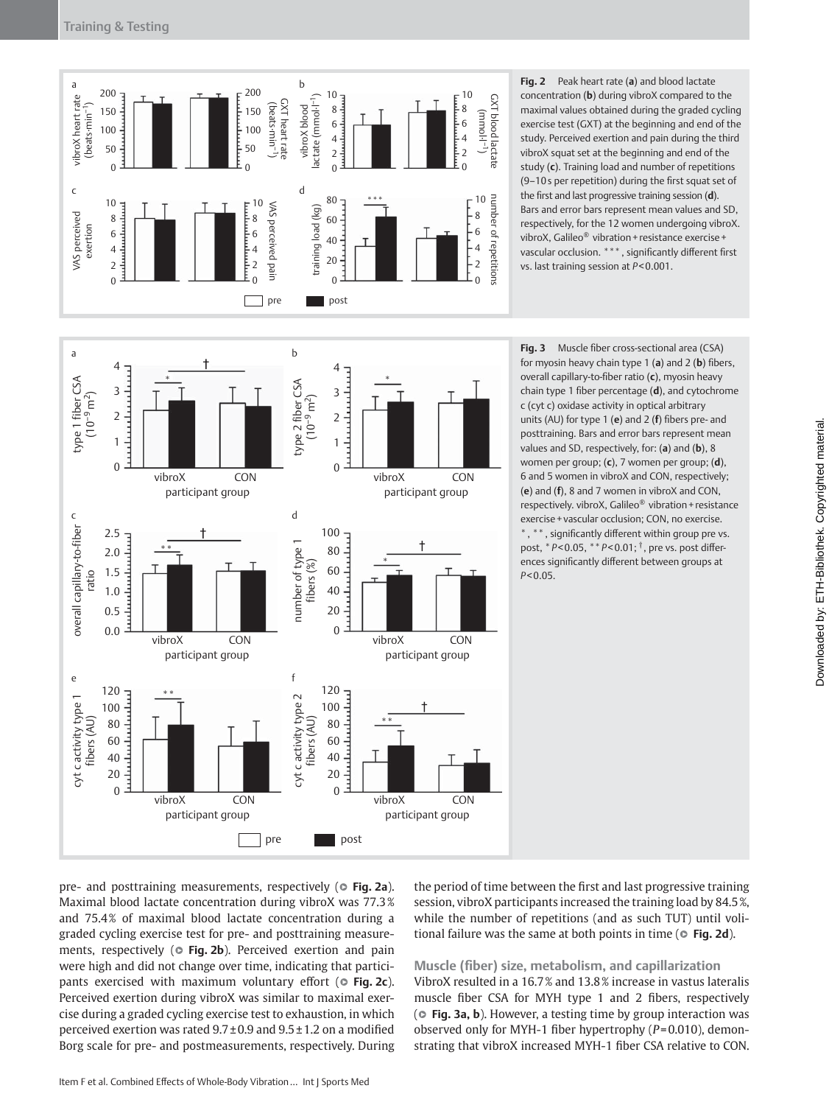

**Fig. 2** Peak heart rate (a) and blood lactate concentration (**b**) during vibroX compared to the maximal values obtained during the graded cycling exercise test (GXT) at the beginning and end of the study. Perceived exertion and pain during the third vibroX squat set at the beginning and end of the study (c). Training load and number of repetitions (9-10s per repetition) during the first squat set of the first and last progressive training session (d). Bars and error bars represent mean values and SD, respectively, for the 12 women undergoing vibroX. vibroX, Galileo® vibration + resistance exercise + vascular occlusion. \*\*\*, significantly different first vs. last training session at *P* < 0.001.





pre- and posttraining measurements, respectively ( $\circ$  Fig. 2a). Maximal blood lactate concentration during vibroX was 77.3 % and 75.4% of maximal blood lactate concentration during a graded cycling exercise test for pre- and posttraining measurements, respectively ( $\circ$  Fig. 2b). Perceived exertion and pain were high and did not change over time, indicating that participants exercised with maximum voluntary effort ( $\circ$  Fig. 2c). Perceived exertion during vibroX was similar to maximal exercise during a graded cycling exercise test to exhaustion, in which perceived exertion was rated  $9.7 \pm 0.9$  and  $9.5 \pm 1.2$  on a modified Borg scale for pre- and postmeasurements, respectively. During

the period of time between the first and last progressive training session, vibroX participants increased the training load by 84.5%, while the number of repetitions (and as such TUT) until volitional failure was the same at both points in time ( $\circ$  Fig. 2d).

**Muscle (fi ber) size, metabolism, and capillarization**  VibroX resulted in a 16.7 % and 13.8 % increase in vastus lateralis muscle fiber CSA for MYH type 1 and 2 fibers, respectively ( $\circ$  Fig. 3a, b). However, a testing time by group interaction was observed only for MYH-1 fiber hypertrophy ( $P=0.010$ ), demonstrating that vibroX increased MYH-1 fiber CSA relative to CON.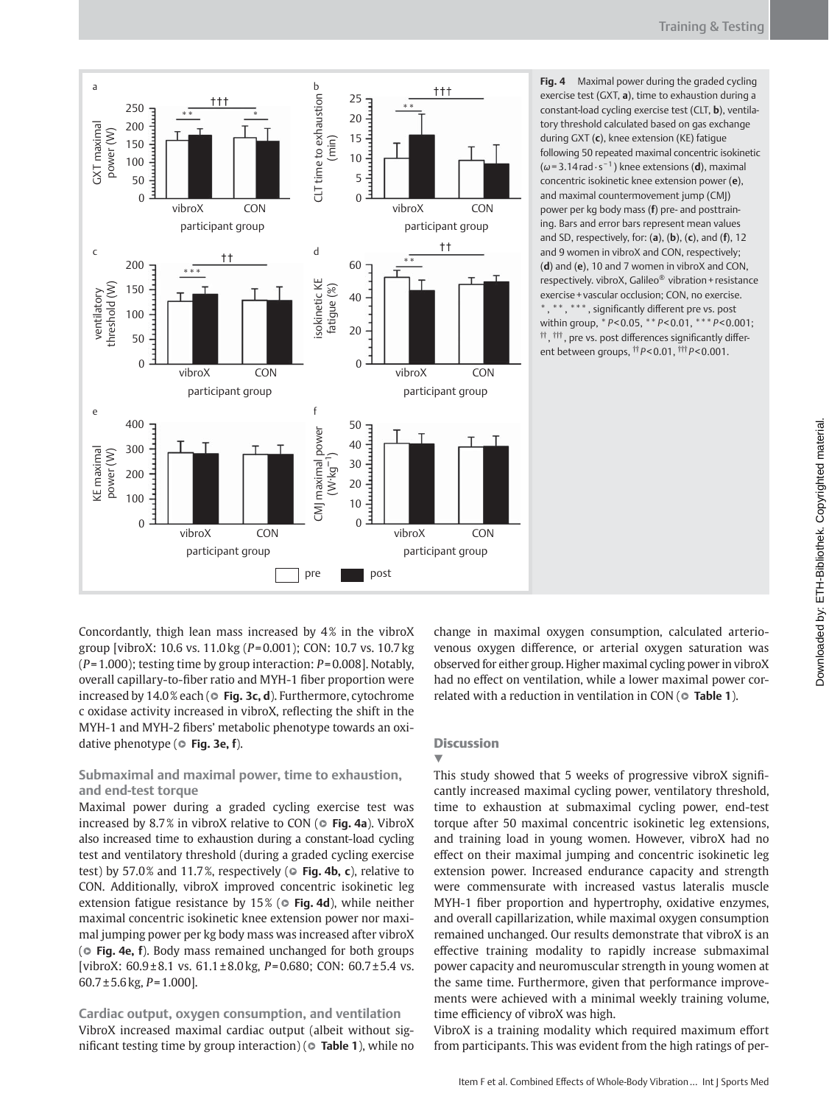



a

Concordantly, thigh lean mass increased by 4% in the vibroX group [vibroX: 10.6 vs. 11.0 kg ( *P* = 0.001); CON: 10.7 vs. 10.7 kg ( *P* = 1.000); testing time by group interaction: *P* = 0.008]. Notably, overall capillary-to-fiber ratio and MYH-1 fiber proportion were increased by 14.0% each ( $\circ$  **Fig. 3c, d**). Furthermore, cytochrome c oxidase activity increased in vibroX, reflecting the shift in the MYH-1 and MYH-2 fibers' metabolic phenotype towards an oxidative phenotype ( $\circ$  Fig. 3e, f).

# **Submaximal and maximal power, time to exhaustion, and end-test torque**

 Maximal power during a graded cycling exercise test was increased by 8.7% in vibroX relative to CON ( $\circ$  Fig. 4a). VibroX also increased time to exhaustion during a constant-load cycling test and ventilatory threshold (during a graded cycling exercise test) by 57.0% and 11.7%, respectively ( $\circ$  Fig. 4b, c), relative to CON. Additionally, vibroX improved concentric isokinetic leg extension fatigue resistance by 15% ( $\circ$  Fig. 4d), while neither maximal concentric isokinetic knee extension power nor maximal jumping power per kg body mass was increased after vibroX ( $\circ$  **Fig. 4e, f**). Body mass remained unchanged for both groups [vibroX: 60.9 ± 8.1 vs. 61.1 ± 8.0 kg, *P* = 0.680; CON: 60.7 ± 5.4 vs. 60.7 ± 5.6 kg, *P* = 1.000].

**Cardiac output, oxygen consumption, and ventilation**  VibroX increased maximal cardiac output (albeit without significant testing time by group interaction) ( $\circ$  **Table 1**), while no change in maximal oxygen consumption, calculated arteriovenous oxygen difference, or arterial oxygen saturation was observed for either group. Higher maximal cycling power in vibroX had no effect on ventilation, while a lower maximal power correlated with a reduction in ventilation in CON ( $\circ$  Table 1).

## **Discussion**

## ▼

This study showed that 5 weeks of progressive vibroX significantly increased maximal cycling power, ventilatory threshold, time to exhaustion at submaximal cycling power, end-test torque after 50 maximal concentric isokinetic leg extensions, and training load in young women. However, vibroX had no effect on their maximal jumping and concentric isokinetic leg extension power. Increased endurance capacity and strength were commensurate with increased vastus lateralis muscle MYH-1 fiber proportion and hypertrophy, oxidative enzymes, and overall capillarization, while maximal oxygen consumption remained unchanged. Our results demonstrate that vibroX is an effective training modality to rapidly increase submaximal power capacity and neuromuscular strength in young women at the same time. Furthermore, given that performance improvements were achieved with a minimal weekly training volume, time efficiency of vibroX was high.

VibroX is a training modality which required maximum effort from participants. This was evident from the high ratings of per-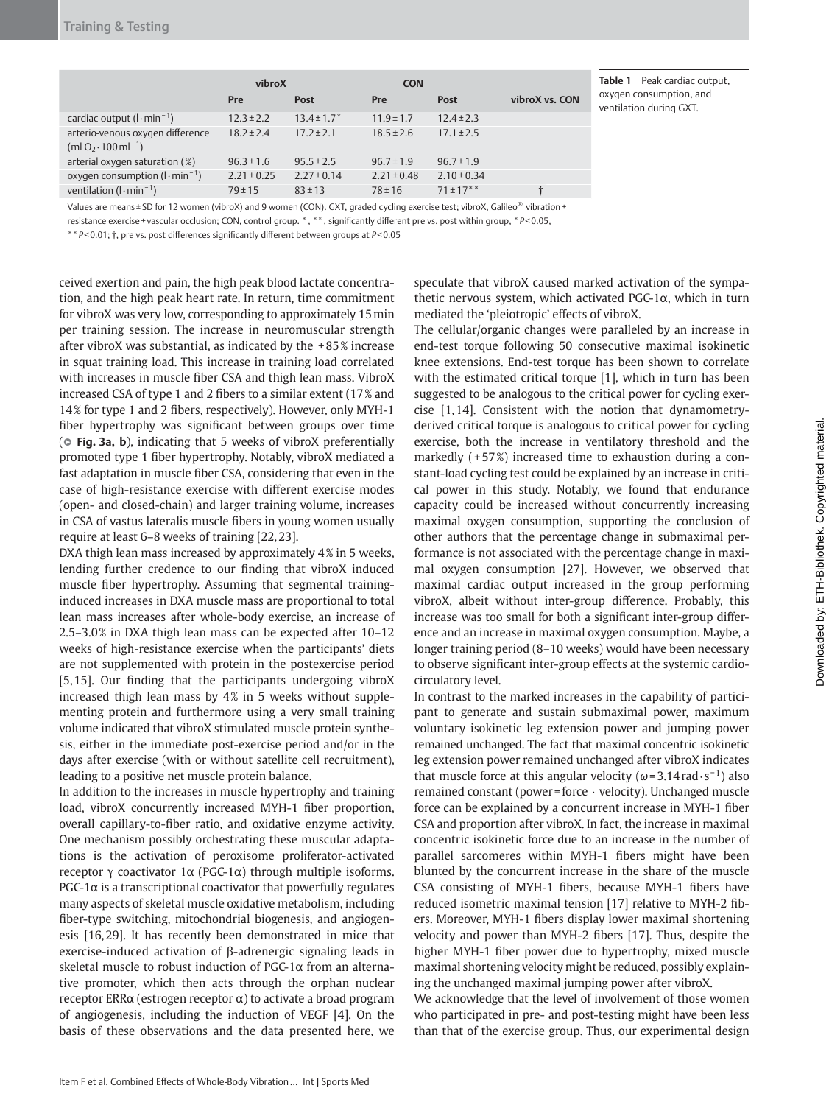|                                                                                       | vibroX          |                             | <b>CON</b>      |                 |                |
|---------------------------------------------------------------------------------------|-----------------|-----------------------------|-----------------|-----------------|----------------|
|                                                                                       | Pre             | Post                        | Pre             | Post            | vibroX vs. CON |
| cardiac output $(l \cdot min^{-1})$                                                   | $12.3 \pm 2.2$  | $13.4 \pm 1.7$ <sup>*</sup> | $11.9 \pm 1.7$  | $12.4 \pm 2.3$  |                |
| arterio-venous oxygen difference<br>(ml O <sub>2</sub> $\cdot$ 100 ml <sup>-1</sup> ) | $18.2 \pm 2.4$  | $17.2 \pm 2.1$              | $18.5 \pm 2.6$  | $17.1 \pm 2.5$  |                |
| arterial oxygen saturation (%)                                                        | $96.3 \pm 1.6$  | $95.5 \pm 2.5$              | $96.7 \pm 1.9$  | $96.7 \pm 1.9$  |                |
| oxygen consumption $(l \cdot min^{-1})$                                               | $2.21 \pm 0.25$ | $2.27 \pm 0.14$             | $2.21 \pm 0.48$ | $2.10 \pm 0.34$ |                |
| ventilation $(l \cdot \text{min}^{-1})$                                               | $79 \pm 15$     | $83 \pm 13$                 | $78 \pm 16$     | $71 \pm 17***$  | ÷              |

**Table 1** Peak cardiac output, oxygen consumption, and ventilation during GXT.

Values are means ± SD for 12 women (vibroX) and 9 women (CON). GXT, graded cycling exercise test; vibroX, Galileo® vibration +

resistance exercise + vascular occlusion; CON, control group. \*, \*\*, significantly different pre vs. post within group, \*P<0.05,

\*\*  $P$  < 0.01;  $\dagger$ , pre vs. post differences significantly different between groups at  $P$  < 0.05

ceived exertion and pain, the high peak blood lactate concentration, and the high peak heart rate. In return, time commitment for vibroX was very low, corresponding to approximately 15 min per training session. The increase in neuromuscular strength after vibroX was substantial, as indicated by the + 85 % increase in squat training load. This increase in training load correlated with increases in muscle fiber CSA and thigh lean mass. VibroX increased CSA of type 1 and 2 fibers to a similar extent  $(17\%$  and 14% for type 1 and 2 fibers, respectively). However, only MYH-1 fiber hypertrophy was significant between groups over time ( $\circ$  **Fig. 3a, b**), indicating that 5 weeks of vibroX preferentially promoted type 1 fiber hypertrophy. Notably, vibroX mediated a fast adaptation in muscle fiber CSA, considering that even in the case of high-resistance exercise with different exercise modes (open- and closed-chain) and larger training volume, increases in CSA of vastus lateralis muscle fibers in young women usually require at least 6–8 weeks of training [22, 23].

DXA thigh lean mass increased by approximately 4% in 5 weeks, lending further credence to our finding that vibroX induced muscle fiber hypertrophy. Assuming that segmental traininginduced increases in DXA muscle mass are proportional to total lean mass increases after whole-body exercise, an increase of 2.5-3.0% in DXA thigh lean mass can be expected after 10-12 weeks of high-resistance exercise when the participants' diets are not supplemented with protein in the postexercise period [5, 15]. Our finding that the participants undergoing vibroX increased thigh lean mass by 4% in 5 weeks without supplementing protein and furthermore using a very small training volume indicated that vibroX stimulated muscle protein synthesis, either in the immediate post-exercise period and/or in the days after exercise (with or without satellite cell recruitment), leading to a positive net muscle protein balance.

 In addition to the increases in muscle hypertrophy and training load, vibroX concurrently increased MYH-1 fiber proportion, overall capillary-to-fiber ratio, and oxidative enzyme activity. One mechanism possibly orchestrating these muscular adaptations is the activation of peroxisome proliferator-activated receptor γ coactivator 1 $\alpha$  (PGC-1 $\alpha$ ) through multiple isoforms.  $PGC-1\alpha$  is a transcriptional coactivator that powerfully regulates many aspects of skeletal muscle oxidative metabolism, including fiber-type switching, mitochondrial biogenesis, and angiogenesis [16,29]. It has recently been demonstrated in mice that exercise-induced activation of β-adrenergic signaling leads in skeletal muscle to robust induction of PGC-1 $\alpha$  from an alternative promoter, which then acts through the orphan nuclear receptor ERR $\alpha$  (estrogen receptor  $\alpha$ ) to activate a broad program of angiogenesis, including the induction of VEGF [4]. On the basis of these observations and the data presented here, we

speculate that vibroX caused marked activation of the sympathetic nervous system, which activated PGC-1 $\alpha$ , which in turn mediated the 'pleiotropic' effects of vibroX.

The cellular/organic changes were paralleled by an increase in end-test torque following 50 consecutive maximal isokinetic knee extensions. End-test torque has been shown to correlate with the estimated critical torque  $[1]$ , which in turn has been suggested to be analogous to the critical power for cycling exercise [1,14]. Consistent with the notion that dynamometryderived critical torque is analogous to critical power for cycling exercise, both the increase in ventilatory threshold and the markedly  $(+57%)$  increased time to exhaustion during a constant-load cycling test could be explained by an increase in critical power in this study. Notably, we found that endurance capacity could be increased without concurrently increasing maximal oxygen consumption, supporting the conclusion of other authors that the percentage change in submaximal performance is not associated with the percentage change in maximal oxygen consumption [27]. However, we observed that maximal cardiac output increased in the group performing vibroX, albeit without inter-group difference. Probably, this increase was too small for both a significant inter-group difference and an increase in maximal oxygen consumption. Maybe, a longer training period (8-10 weeks) would have been necessary to observe significant inter-group effects at the systemic cardiocirculatory level.

 In contrast to the marked increases in the capability of participant to generate and sustain submaximal power, maximum voluntary isokinetic leg extension power and jumping power remained unchanged. The fact that maximal concentric isokinetic leg extension power remained unchanged after vibroX indicates that muscle force at this angular velocity ( $\omega$ =3.14 rad · s<sup>-1</sup>) also remained constant (power = force · velocity). Unchanged muscle force can be explained by a concurrent increase in MYH-1 fiber CSA and proportion after vibroX. In fact, the increase in maximal concentric isokinetic force due to an increase in the number of parallel sarcomeres within MYH-1 fibers might have been blunted by the concurrent increase in the share of the muscle CSA consisting of MYH-1 fibers, because MYH-1 fibers have reduced isometric maximal tension [17] relative to MYH-2 fibers. Moreover, MYH-1 fibers display lower maximal shortening velocity and power than MYH-2 fibers [17]. Thus, despite the higher MYH-1 fiber power due to hypertrophy, mixed muscle maximal shortening velocity might be reduced, possibly explaining the unchanged maximal jumping power after vibroX.

 We acknowledge that the level of involvement of those women who participated in pre- and post-testing might have been less than that of the exercise group. Thus, our experimental design